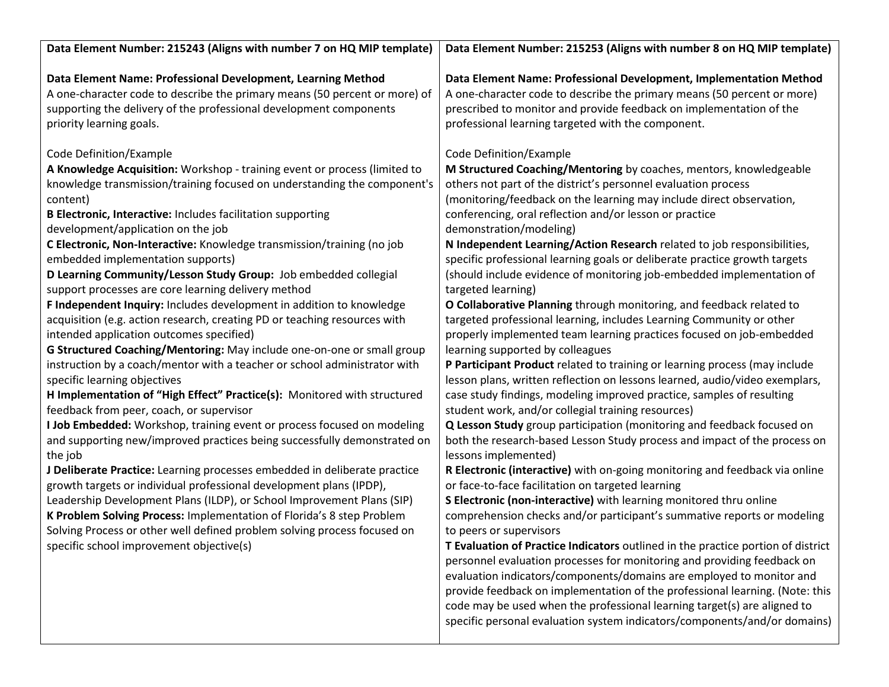| Data Element Number: 215243 (Aligns with number 7 on HQ MIP template)                                                                                                                                                                                                                                                                                                                                                                                                                                                                                                                                                                                                                                                                                                                                                                                                                                                                                                                                                                                                                                                                                                                                                                                                                                                                                                                                                                                                                                                                                                                                                                                       | Data Element Number: 215253 (Aligns with number 8 on HQ MIP template)                                                                                                                                                                                                                                                                                                                                                                                                                                                                                                                                                                                                                                                                                                                                                                                                                                                                                                                                                                                                                                                                                                                                                                                                                                                                                                                                                                                                                                                                                                                                                                                                                                                                                                                                                                                                                                                                                               |
|-------------------------------------------------------------------------------------------------------------------------------------------------------------------------------------------------------------------------------------------------------------------------------------------------------------------------------------------------------------------------------------------------------------------------------------------------------------------------------------------------------------------------------------------------------------------------------------------------------------------------------------------------------------------------------------------------------------------------------------------------------------------------------------------------------------------------------------------------------------------------------------------------------------------------------------------------------------------------------------------------------------------------------------------------------------------------------------------------------------------------------------------------------------------------------------------------------------------------------------------------------------------------------------------------------------------------------------------------------------------------------------------------------------------------------------------------------------------------------------------------------------------------------------------------------------------------------------------------------------------------------------------------------------|---------------------------------------------------------------------------------------------------------------------------------------------------------------------------------------------------------------------------------------------------------------------------------------------------------------------------------------------------------------------------------------------------------------------------------------------------------------------------------------------------------------------------------------------------------------------------------------------------------------------------------------------------------------------------------------------------------------------------------------------------------------------------------------------------------------------------------------------------------------------------------------------------------------------------------------------------------------------------------------------------------------------------------------------------------------------------------------------------------------------------------------------------------------------------------------------------------------------------------------------------------------------------------------------------------------------------------------------------------------------------------------------------------------------------------------------------------------------------------------------------------------------------------------------------------------------------------------------------------------------------------------------------------------------------------------------------------------------------------------------------------------------------------------------------------------------------------------------------------------------------------------------------------------------------------------------------------------------|
| Data Element Name: Professional Development, Learning Method<br>A one-character code to describe the primary means (50 percent or more) of<br>supporting the delivery of the professional development components<br>priority learning goals.                                                                                                                                                                                                                                                                                                                                                                                                                                                                                                                                                                                                                                                                                                                                                                                                                                                                                                                                                                                                                                                                                                                                                                                                                                                                                                                                                                                                                | Data Element Name: Professional Development, Implementation Method<br>A one-character code to describe the primary means (50 percent or more)<br>prescribed to monitor and provide feedback on implementation of the<br>professional learning targeted with the component.                                                                                                                                                                                                                                                                                                                                                                                                                                                                                                                                                                                                                                                                                                                                                                                                                                                                                                                                                                                                                                                                                                                                                                                                                                                                                                                                                                                                                                                                                                                                                                                                                                                                                          |
| Code Definition/Example<br>A Knowledge Acquisition: Workshop - training event or process (limited to<br>knowledge transmission/training focused on understanding the component's<br>content)<br>B Electronic, Interactive: Includes facilitation supporting<br>development/application on the job<br>C Electronic, Non-Interactive: Knowledge transmission/training (no job<br>embedded implementation supports)<br>D Learning Community/Lesson Study Group: Job embedded collegial<br>support processes are core learning delivery method<br>F Independent Inquiry: Includes development in addition to knowledge<br>acquisition (e.g. action research, creating PD or teaching resources with<br>intended application outcomes specified)<br>G Structured Coaching/Mentoring: May include one-on-one or small group<br>instruction by a coach/mentor with a teacher or school administrator with<br>specific learning objectives<br>H Implementation of "High Effect" Practice(s): Monitored with structured<br>feedback from peer, coach, or supervisor<br>I Job Embedded: Workshop, training event or process focused on modeling<br>and supporting new/improved practices being successfully demonstrated on<br>the job<br>J Deliberate Practice: Learning processes embedded in deliberate practice<br>growth targets or individual professional development plans (IPDP),<br>Leadership Development Plans (ILDP), or School Improvement Plans (SIP)<br>K Problem Solving Process: Implementation of Florida's 8 step Problem<br>Solving Process or other well defined problem solving process focused on<br>specific school improvement objective(s) | Code Definition/Example<br>M Structured Coaching/Mentoring by coaches, mentors, knowledgeable<br>others not part of the district's personnel evaluation process<br>(monitoring/feedback on the learning may include direct observation,<br>conferencing, oral reflection and/or lesson or practice<br>demonstration/modeling)<br>N Independent Learning/Action Research related to job responsibilities,<br>specific professional learning goals or deliberate practice growth targets<br>(should include evidence of monitoring job-embedded implementation of<br>targeted learning)<br>O Collaborative Planning through monitoring, and feedback related to<br>targeted professional learning, includes Learning Community or other<br>properly implemented team learning practices focused on job-embedded<br>learning supported by colleagues<br>P Participant Product related to training or learning process (may include<br>lesson plans, written reflection on lessons learned, audio/video exemplars,<br>case study findings, modeling improved practice, samples of resulting<br>student work, and/or collegial training resources)<br>Q Lesson Study group participation (monitoring and feedback focused on<br>both the research-based Lesson Study process and impact of the process on<br>lessons implemented)<br>R Electronic (interactive) with on-going monitoring and feedback via online<br>or face-to-face facilitation on targeted learning<br>S Electronic (non-interactive) with learning monitored thru online<br>comprehension checks and/or participant's summative reports or modeling<br>to peers or supervisors<br>T Evaluation of Practice Indicators outlined in the practice portion of district<br>personnel evaluation processes for monitoring and providing feedback on<br>evaluation indicators/components/domains are employed to monitor and<br>provide feedback on implementation of the professional learning. (Note: this |
|                                                                                                                                                                                                                                                                                                                                                                                                                                                                                                                                                                                                                                                                                                                                                                                                                                                                                                                                                                                                                                                                                                                                                                                                                                                                                                                                                                                                                                                                                                                                                                                                                                                             | code may be used when the professional learning target(s) are aligned to<br>specific personal evaluation system indicators/components/and/or domains)                                                                                                                                                                                                                                                                                                                                                                                                                                                                                                                                                                                                                                                                                                                                                                                                                                                                                                                                                                                                                                                                                                                                                                                                                                                                                                                                                                                                                                                                                                                                                                                                                                                                                                                                                                                                               |